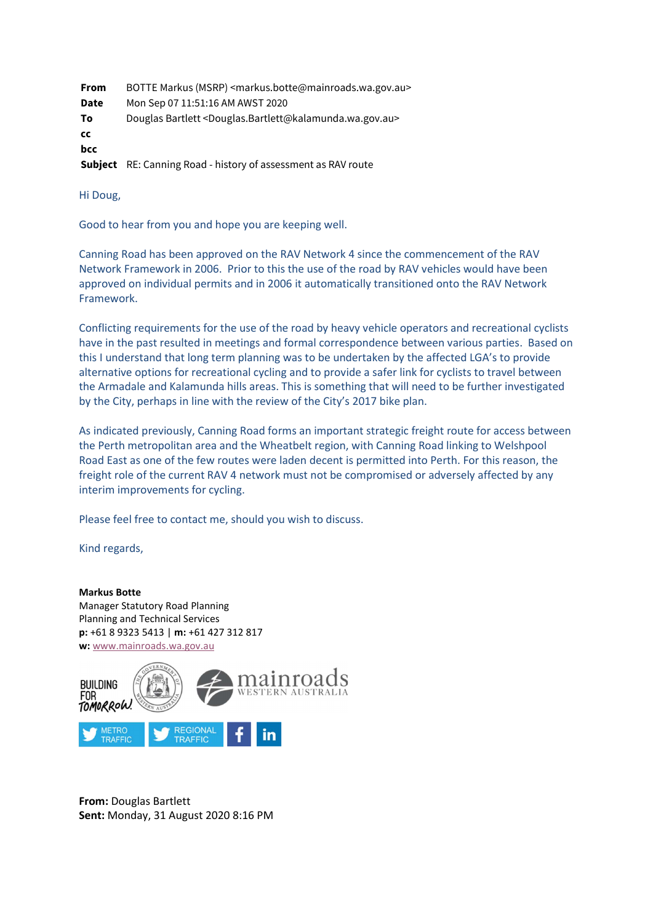| From | BOTTE Markus (MSRP) <markus.botte@mainroads.wa.gov.au></markus.botte@mainroads.wa.gov.au>      |
|------|------------------------------------------------------------------------------------------------|
| Date | Mon Sep 07 11:51:16 AM AWST 2020                                                               |
| To   | Douglas Bartlett <douglas.bartlett@kalamunda.wa.gov.au></douglas.bartlett@kalamunda.wa.gov.au> |
| CC   |                                                                                                |
| bcc  |                                                                                                |
|      | <b>Subject</b> RE: Canning Road - history of assessment as RAV route                           |

Hi Doug,

Good to hear from you and hope you are keeping well.

Canning Road has been approved on the RAV Network 4 since the commencement of the RAV Network Framework in 2006. Prior to this the use of the road by RAV vehicles would have been approved on individual permits and in 2006 it automatically transitioned onto the RAV Network Framework.

Conflicting requirements for the use of the road by heavy vehicle operators and recreational cyclists have in the past resulted in meetings and formal correspondence between various parties. Based on this I understand that long term planning was to be undertaken by the affected LGA's to provide alternative options for recreational cycling and to provide a safer link for cyclists to travel between the Armadale and Kalamunda hills areas. This is something that will need to be further investigated by the City, perhaps in line with the review of the City's 2017 bike plan.

As indicated previously, Canning Road forms an important strategic freight route for access between the Perth metropolitan area and the Wheatbelt region, with Canning Road linking to Welshpool Road East as one of the few routes were laden decent is permitted into Perth. For this reason, the freight role of the current RAV 4 network must not be compromised or adversely affected by any interim improvements for cycling.

Please feel free to contact me, should you wish to discuss.

Kind regards,

Markus Botte Manager Statutory Road Planning Planning and Technical Services p: +61 8 9323 5413 | m: +61 427 312 817 w: www.mainroads.wa.gov.au



From: Douglas Bartlett Sent: Monday, 31 August 2020 8:16 PM